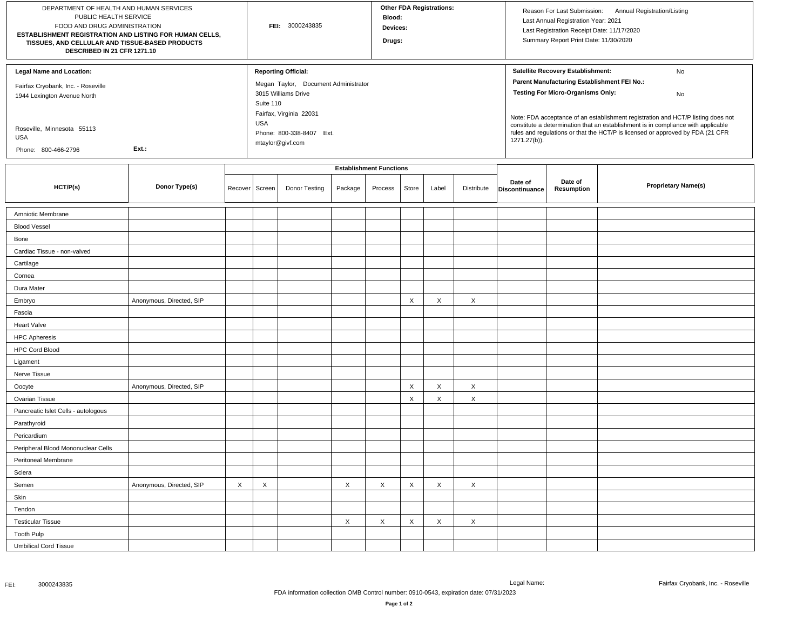| DEPARTMENT OF HEALTH AND HUMAN SERVICES<br>PUBLIC HEALTH SERVICE<br>FOOD AND DRUG ADMINISTRATION<br>ESTABLISHMENT REGISTRATION AND LISTING FOR HUMAN CELLS,<br>TISSUES, AND CELLULAR AND TISSUE-BASED PRODUCTS<br>DESCRIBED IN 21 CFR 1271.10 |                          |                                | FEI: 3000243835                                            |                                                                                                                                   |          |         | <b>Other FDA Registrations:</b><br>Blood:<br>Devices:<br>Drugs: |       |            |                                                                                                                                                                                     | Reason For Last Submission: Annual Registration/Listing<br>Last Annual Registration Year: 2021<br>Last Registration Receipt Date: 11/17/2020<br>Summary Report Print Date: 11/30/2020                                        |                            |  |
|-----------------------------------------------------------------------------------------------------------------------------------------------------------------------------------------------------------------------------------------------|--------------------------|--------------------------------|------------------------------------------------------------|-----------------------------------------------------------------------------------------------------------------------------------|----------|---------|-----------------------------------------------------------------|-------|------------|-------------------------------------------------------------------------------------------------------------------------------------------------------------------------------------|------------------------------------------------------------------------------------------------------------------------------------------------------------------------------------------------------------------------------|----------------------------|--|
| <b>Legal Name and Location:</b><br>Fairfax Cryobank, Inc. - Roseville<br>1944 Lexington Avenue North                                                                                                                                          |                          |                                |                                                            | <b>Reporting Official:</b><br>Megan Taylor, Document Administrator<br>3015 Williams Drive<br>Suite 110<br>Fairfax, Virginia 22031 |          |         |                                                                 |       |            |                                                                                                                                                                                     | Satellite Recovery Establishment:<br>No<br>Parent Manufacturing Establishment FEI No.:<br><b>Testing For Micro-Organisms Only:</b><br>No<br>Note: FDA acceptance of an establishment registration and HCT/P listing does not |                            |  |
| Roseville, Minnesota 55113<br><b>USA</b><br>Ext.:<br>Phone: 800-466-2796                                                                                                                                                                      |                          |                                | <b>USA</b><br>Phone: 800-338-8407 Ext.<br>mtaylor@givf.com |                                                                                                                                   |          |         |                                                                 |       |            | constitute a determination that an establishment is in compliance with applicable<br>rules and regulations or that the HCT/P is licensed or approved by FDA (21 CFR<br>1271.27(b)). |                                                                                                                                                                                                                              |                            |  |
|                                                                                                                                                                                                                                               |                          | <b>Establishment Functions</b> |                                                            |                                                                                                                                   |          |         |                                                                 |       |            |                                                                                                                                                                                     |                                                                                                                                                                                                                              |                            |  |
| HCT/P(s)                                                                                                                                                                                                                                      | Donor Type(s)            | Recover                        | Screen                                                     | Donor Testing                                                                                                                     | Package  | Process | Store                                                           | Label | Distribute | Date of<br>Discontinuance                                                                                                                                                           | Date of<br>Resumption                                                                                                                                                                                                        | <b>Proprietary Name(s)</b> |  |
| Amniotic Membrane                                                                                                                                                                                                                             |                          |                                |                                                            |                                                                                                                                   |          |         |                                                                 |       |            |                                                                                                                                                                                     |                                                                                                                                                                                                                              |                            |  |
| <b>Blood Vessel</b>                                                                                                                                                                                                                           |                          |                                |                                                            |                                                                                                                                   |          |         |                                                                 |       |            |                                                                                                                                                                                     |                                                                                                                                                                                                                              |                            |  |
| Bone                                                                                                                                                                                                                                          |                          |                                |                                                            |                                                                                                                                   |          |         |                                                                 |       |            |                                                                                                                                                                                     |                                                                                                                                                                                                                              |                            |  |
| Cardiac Tissue - non-valved                                                                                                                                                                                                                   |                          |                                |                                                            |                                                                                                                                   |          |         |                                                                 |       |            |                                                                                                                                                                                     |                                                                                                                                                                                                                              |                            |  |
| Cartilage                                                                                                                                                                                                                                     |                          |                                |                                                            |                                                                                                                                   |          |         |                                                                 |       |            |                                                                                                                                                                                     |                                                                                                                                                                                                                              |                            |  |
| Cornea                                                                                                                                                                                                                                        |                          |                                |                                                            |                                                                                                                                   |          |         |                                                                 |       |            |                                                                                                                                                                                     |                                                                                                                                                                                                                              |                            |  |
| Dura Mater                                                                                                                                                                                                                                    |                          |                                |                                                            |                                                                                                                                   |          |         |                                                                 |       |            |                                                                                                                                                                                     |                                                                                                                                                                                                                              |                            |  |
| Embryo                                                                                                                                                                                                                                        | Anonymous, Directed, SIP |                                |                                                            |                                                                                                                                   |          |         | $\times$                                                        | X     | $\times$   |                                                                                                                                                                                     |                                                                                                                                                                                                                              |                            |  |
| Fascia                                                                                                                                                                                                                                        |                          |                                |                                                            |                                                                                                                                   |          |         |                                                                 |       |            |                                                                                                                                                                                     |                                                                                                                                                                                                                              |                            |  |
| <b>Heart Valve</b>                                                                                                                                                                                                                            |                          |                                |                                                            |                                                                                                                                   |          |         |                                                                 |       |            |                                                                                                                                                                                     |                                                                                                                                                                                                                              |                            |  |
| <b>HPC Apheresis</b>                                                                                                                                                                                                                          |                          |                                |                                                            |                                                                                                                                   |          |         |                                                                 |       |            |                                                                                                                                                                                     |                                                                                                                                                                                                                              |                            |  |
| <b>HPC Cord Blood</b>                                                                                                                                                                                                                         |                          |                                |                                                            |                                                                                                                                   |          |         |                                                                 |       |            |                                                                                                                                                                                     |                                                                                                                                                                                                                              |                            |  |
| Ligament                                                                                                                                                                                                                                      |                          |                                |                                                            |                                                                                                                                   |          |         |                                                                 |       |            |                                                                                                                                                                                     |                                                                                                                                                                                                                              |                            |  |
| Nerve Tissue                                                                                                                                                                                                                                  |                          |                                |                                                            |                                                                                                                                   |          |         |                                                                 |       |            |                                                                                                                                                                                     |                                                                                                                                                                                                                              |                            |  |
| Oocyte                                                                                                                                                                                                                                        | Anonymous, Directed, SIP |                                |                                                            |                                                                                                                                   |          |         | $\times$                                                        | X     | $\times$   |                                                                                                                                                                                     |                                                                                                                                                                                                                              |                            |  |
| Ovarian Tissue                                                                                                                                                                                                                                |                          |                                |                                                            |                                                                                                                                   |          |         | X                                                               | X     | $\times$   |                                                                                                                                                                                     |                                                                                                                                                                                                                              |                            |  |
| Pancreatic Islet Cells - autologous                                                                                                                                                                                                           |                          |                                |                                                            |                                                                                                                                   |          |         |                                                                 |       |            |                                                                                                                                                                                     |                                                                                                                                                                                                                              |                            |  |
| Parathyroid                                                                                                                                                                                                                                   |                          |                                |                                                            |                                                                                                                                   |          |         |                                                                 |       |            |                                                                                                                                                                                     |                                                                                                                                                                                                                              |                            |  |
| Pericardium                                                                                                                                                                                                                                   |                          |                                |                                                            |                                                                                                                                   |          |         |                                                                 |       |            |                                                                                                                                                                                     |                                                                                                                                                                                                                              |                            |  |
| Peripheral Blood Mononuclear Cells                                                                                                                                                                                                            |                          |                                |                                                            |                                                                                                                                   |          |         |                                                                 |       |            |                                                                                                                                                                                     |                                                                                                                                                                                                                              |                            |  |
| Peritoneal Membrane                                                                                                                                                                                                                           |                          |                                |                                                            |                                                                                                                                   |          |         |                                                                 |       |            |                                                                                                                                                                                     |                                                                                                                                                                                                                              |                            |  |
| Sclera                                                                                                                                                                                                                                        |                          |                                |                                                            |                                                                                                                                   |          |         |                                                                 |       |            |                                                                                                                                                                                     |                                                                                                                                                                                                                              |                            |  |
| Semen                                                                                                                                                                                                                                         | Anonymous, Directed, SIP | X                              | X                                                          |                                                                                                                                   | $\times$ | X       | $\times$                                                        | X     | $\times$   |                                                                                                                                                                                     |                                                                                                                                                                                                                              |                            |  |
| Skin                                                                                                                                                                                                                                          |                          |                                |                                                            |                                                                                                                                   |          |         |                                                                 |       |            |                                                                                                                                                                                     |                                                                                                                                                                                                                              |                            |  |
| Tendon                                                                                                                                                                                                                                        |                          |                                |                                                            |                                                                                                                                   |          |         |                                                                 |       |            |                                                                                                                                                                                     |                                                                                                                                                                                                                              |                            |  |
| <b>Testicular Tissue</b>                                                                                                                                                                                                                      |                          |                                |                                                            |                                                                                                                                   | $\times$ | X       | $\times$                                                        | X     | $\times$   |                                                                                                                                                                                     |                                                                                                                                                                                                                              |                            |  |
| Tooth Pulp                                                                                                                                                                                                                                    |                          |                                |                                                            |                                                                                                                                   |          |         |                                                                 |       |            |                                                                                                                                                                                     |                                                                                                                                                                                                                              |                            |  |
| <b>Umbilical Cord Tissue</b>                                                                                                                                                                                                                  |                          |                                |                                                            |                                                                                                                                   |          |         |                                                                 |       |            |                                                                                                                                                                                     |                                                                                                                                                                                                                              |                            |  |